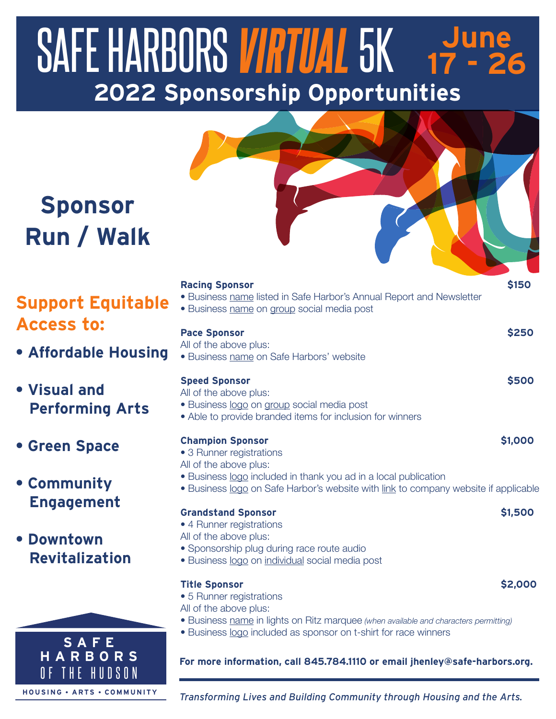# **2022 Sponsorship Opportunities** SAFE HARBORS *VIRTUAL* 5K 3une **17 - 26**



# **Sponsor Run / Walk**

## **Support Equitable Access to:**

**• Affordable Housing**

#### **• Visual and Performing Arts**

**• Green Space**

#### **• Community Engagement**

### **• Downtown Revitalization**

| <b>Racing Sponsor</b><br>• Business name listed in Safe Harbor's Annual Report and Newsletter<br>• Business name on group social media post                                                                                             | \$150   |  |  |  |  |  |
|-----------------------------------------------------------------------------------------------------------------------------------------------------------------------------------------------------------------------------------------|---------|--|--|--|--|--|
| <b>Pace Sponsor</b><br>All of the above plus:<br>• Business name on Safe Harbors' website                                                                                                                                               | \$250   |  |  |  |  |  |
| <b>Speed Sponsor</b><br>All of the above plus:<br>· Business logo on group social media post<br>• Able to provide branded items for inclusion for winners                                                                               | \$500   |  |  |  |  |  |
| <b>Champion Sponsor</b><br>• 3 Runner registrations<br>All of the above plus:<br>• Business logo included in thank you ad in a local publication<br>• Business logo on Safe Harbor's website with link to company website if applicable | \$1,000 |  |  |  |  |  |
| <b>Grandstand Sponsor</b><br>• 4 Runner registrations<br>All of the above plus:<br>• Sponsorship plug during race route audio<br>• Business logo on individual social media post                                                        | \$1,500 |  |  |  |  |  |
| <b>Title Sponsor</b><br>• 5 Runner registrations<br>All of the above plus:<br>• Business name in lights on Ritz marquee (when available and characters permitting)<br>• Business logo included as sponsor on t-shirt for race winners   | \$2,000 |  |  |  |  |  |
| For more information, call 845.784.1110 or email jhenley@safe-harbors.org.                                                                                                                                                              |         |  |  |  |  |  |

#### **S A F E H A R B O R S** OF TH E HUDS O N **H O U SING ARTS COMMUNIT Y**

*Transforming Lives and Building Community through Housing and the Arts.*